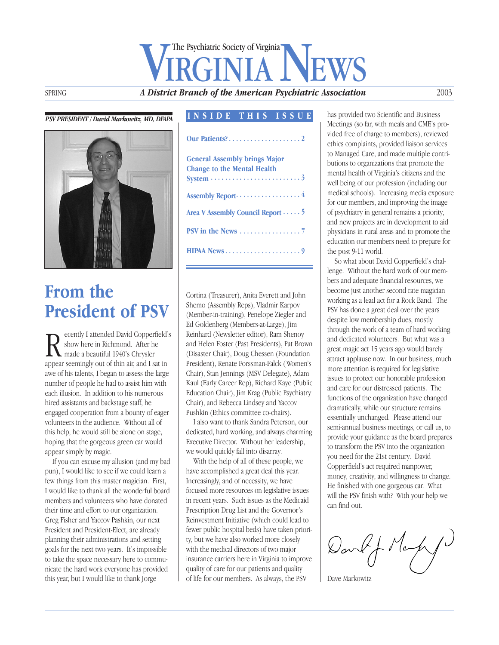# SPRING **A District Branch of the American Psychiatric Association** The Psychiatric Society of Virginia

#### *PSV PRESIDENT / David Markowitz, MD, DFAPA*



# **From the President of PSV**

Recently I attended David Copperfield<br>
Show here in Richmond. After he<br>
made a beautiful 1940's Chrysler<br>
appear seemingly out of thin air, and I sat in ecently I attended David Copperfield's show here in Richmond. After he made a beautiful 1940's Chrysler awe of his talents, I began to assess the large number of people he had to assist him with each illusion. In addition to his numerous hired assistants and backstage staff, he engaged cooperation from a bounty of eager volunteers in the audience. Without all of this help, he would still be alone on stage, hoping that the gorgeous green car would appear simply by magic.

If you can excuse my allusion (and my bad pun), I would like to see if we could learn a few things from this master magician. First, I would like to thank all the wonderful board members and volunteers who have donated their time and effort to our organization. Greg Fisher and Yaccov Pashkin, our next President and President-Elect, are already planning their administrations and setting goals for the next two years. It's impossible to take the space necessary here to communicate the hard work everyone has provided this year, but I would like to thank Jorge

#### **INSIDE THIS ISSUE**

| <b>General Assembly brings Major</b><br><b>Change to the Mental Health</b><br>$System \dots \dots \dots \dots \dots \dots \dots$ |
|----------------------------------------------------------------------------------------------------------------------------------|
|                                                                                                                                  |
| Area V Assembly Council Report 5                                                                                                 |
| PSV in the News $\dots\dots\dots\dots\dots\dots$                                                                                 |
|                                                                                                                                  |

Cortina (Treasurer), Anita Everett and John Shemo (Assembly Reps), Vladmir Karpov (Member-in-training), Penelope Ziegler and Ed Goldenberg (Members-at-Large), Jim Reinhard (Newsletter editor), Ram Shenoy and Helen Foster (Past Presidents), Pat Brown (Disaster Chair), Doug Chessen (Foundation President), Renate Forssman-Falck ( Women's Chair), Stan Jennings (MSV Delegate), Adam Kaul (Early Career Rep), Richard Kaye (Public Education Chair), Jim Krag (Public Psychiatry Chair), and Rebecca Lindsey and Yaccov Pushkin (Ethics committee co-chairs).

I also want to thank Sandra Peterson, our dedicated, hard working, and always charming Executive Director. Without her leadership, we would quickly fall into disarray.

With the help of all of these people, we have accomplished a great deal this year. Increasingly, and of necessity, we have focused more resources on legislative issues in recent years. Such issues as the Medicaid Prescription Drug List and the Governor's Reinvestment Initiative (which could lead to fewer public hospital beds) have taken priority, but we have also worked more closely with the medical directors of two major insurance carriers here in Virginia to improve quality of care for our patients and quality of life for our members. As always, the PSV

has provided two Scientific and Business Meetings (so far, with meals and CME's provided free of charge to members), reviewed ethics complaints, provided liaison services to Managed Care, and made multiple contributions to organizations that promote the mental health of Virginia's citizens and the well being of our profession (including our medical schools). Increasing media exposure for our members, and improving the image of psychiatry in general remains a priority, and new projects are in development to aid physicians in rural areas and to promote the education our members need to prepare for the post 9-11 world.

So what about David Copperfield's challenge. Without the hard work of our members and adequate financial resources, we become just another second rate magician working as a lead act for a Rock Band. The PSV has done a great deal over the years despite low membership dues, mostly through the work of a team of hard working and dedicated volunteers. But what was a great magic act 15 years ago would barely attract applause now. In our business, much more attention is required for legislative issues to protect our honorable profession and care for our distressed patients. The functions of the organization have changed dramatically, while our structure remains essentially unchanged. Please attend our semi-annual business meetings, or call us, to provide your guidance as the board prepares to transform the PSV into the organization you need for the 21st century. David Copperfield's act required manpower, money, creativity, and willingness to change. He finished with one gorgeous car. What will the PSV finish with? With your help we can find out.

Dankf Mary

Dave Markowitz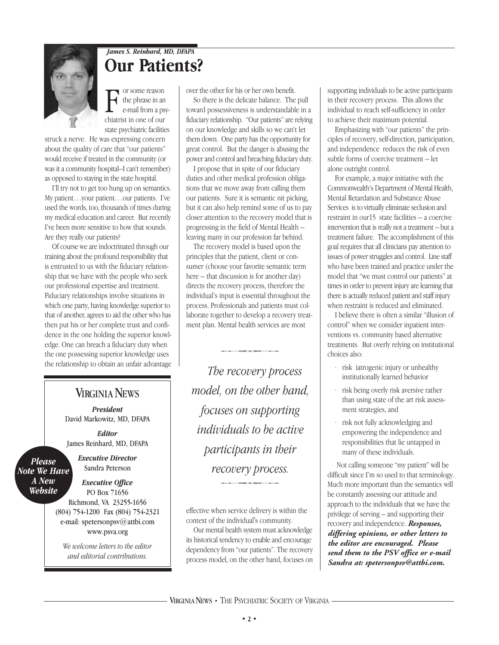

## *James S. Reinhard, MD, DFAPA* **Our Patients?**

F or some reason<br>the phrase in an<br>e-mail from a ps<br>chiatrist in one of our or some reason the phrase in an e-mail from a psystate psychiatric facilities

struck a nerve. He was expressing concern about the quality of care that "our patients" would receive if treated in the community (or was it a community hospital–I can't remember) as opposed to staying in the state hospital.

I'll try not to get too hung up on semantics. My patient…your patient…our patients. I've used the words, too, thousands of times during my medical education and career. But recently I've been more sensitive to how that sounds. Are they really our patients?

Of course we are indoctrinated through our training about the profound responsibility that is entrusted to us with the fiduciary relationship that we have with the people who seek our professional expertise and treatment. Fiduciary relationships involve situations in which one party, having knowledge superior to that of another, agrees to aid the other who has then put his or her complete trust and confidence in the one holding the superior knowledge. One can breach a fiduciary duty when the one possessing superior knowledge uses the relationship to obtain an unfair advantage

#### **VIRGINIA NEWS**

*President* David Markowitz, MD, DFAPA

*Editor* James Reinhard, MD, DFAPA

*Please Note We Have A New Website*

*Executive Director* Sandra Peterson

*Executive Office* PO Box 71656 Richmond, VA 23255-1656 (804) 754-1200 Fax (804) 754-2321 e-mail: spetersonpsv@attbi.com www.psva.org

*We welcome letters to the editor and editorial contributions.*

over the other for his or her own benefit.

So there is the delicate balance. The pull toward possessiveness is understandable in a fiduciary relationship. "Our patients" are relying on our knowledge and skills so we can't let them down. One party has the opportunity for great control. But the danger is abusing the power and control and breaching fiduciary duty.

I propose that in spite of our fiduciary duties and other medical profession obligations that we move away from calling them our patients. Sure it is semantic nit picking, but it can also help remind some of us to pay closer attention to the recovery model that is progressing in the field of Mental Health – leaving many in our profession far behind.

The recovery model is based upon the principles that the patient, client or consumer (choose your favorite semantic term here – that discussion is for another day) directs the recovery process, therefore the individual's input is essential throughout the process. Professionals and patients must collaborate together to develop a recovery treatment plan. Mental health services are most ether to develop a recovery<br>Mental health services are n<br>A reconomy funced

*The recovery process model, on the other hand, focuses on supporting individuals to be active participants in their recovery process.* ticipants in t<br>covery proce.<br>———————

effective when service delivery is within the context of the individual's community.

Our mental health system must acknowledge its historical tendency to enable and encourage dependency from "our patients". The recovery process model, on the other hand, focuses on supporting individuals to be active participants in their recovery process. This allows the individual to reach self-sufficiency in order to achieve their maximum potential.

Emphasizing with "our patients" the principles of recovery, self-direction, participation, and independence reduces the risk of even subtle forms of coercive treatment – let alone outright control.

For example, a major initiative with the Commonwealth's Department of Mental Health, Mental Retardation and Substance Abuse Services is to virtually eliminate seclusion and restraint in our15 state facilities – a coercive intervention that is really not a treatment – but a treatment failure. The accomplishment of this goal requires that all clinicians pay attention to issues of power struggles and control. Line staff who have been trained and practice under the model that "we must control our patients" at times in order to prevent injury are learning that there is actually reduced patient and staff injury when restraint is reduced and eliminated.

I believe there is often a similar "illusion of control" when we consider inpatient interventions vs. community based alternative treatments. But overly relying on institutional choices also:

- risk iatrogenic injury or unhealthy institutionally learned behavior
- risk being overly risk aversive rather than using state of the art risk assessment strategies, and
- · risk not fully acknowledging and empowering the independence and responsibilities that lie untapped in many of these individuals.

Not calling someone "my patient" will be difficult since I'm so used to that terminology. Much more important than the semantics will be constantly assessing our attitude and approach to the individuals that we have the privilege of serving – and supporting their recovery and independence. *Responses, differing opinions, or other letters to the editor are encouraged. Please send them to the PSV office or e-mail Sandra at: spetersonpsv@attbi.com.*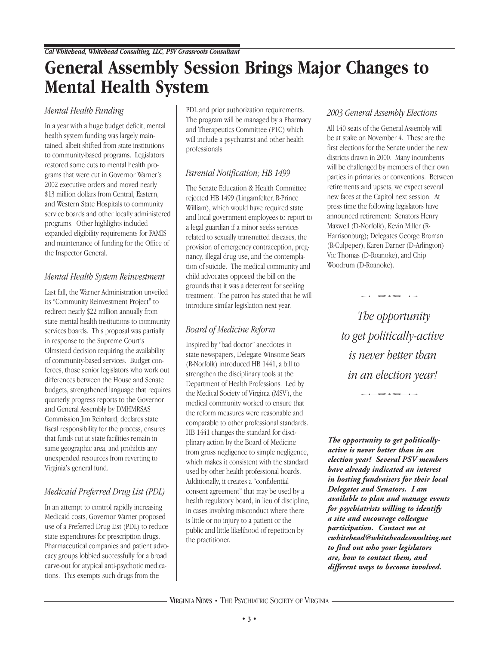# **General Assembly Session Brings Major Changes to Mental Health System**

#### *Mental Health Funding*

In a year with a huge budget deficit, mental health system funding was largely maintained, albeit shifted from state institutions to community-based programs. Legislators restored some cuts to mental health programs that were cut in Governor Warner's 2002 executive orders and moved nearly \$13 million dollars from Central, Eastern, and Western State Hospitals to community service boards and other locally administered programs. Other highlights included expanded eligibility requirements for FAMIS and maintenance of funding for the Office of the Inspector General.

#### *Mental Health System Reinvestment*

Last fall, the Warner Administration unveiled its "Community Reinvestment Project" to redirect nearly \$22 million annually from state mental health institutions to community services boards. This proposal was partially in response to the Supreme Court's Olmstead decision requiring the availability of community-based services. Budget conferees, those senior legislators who work out differences between the House and Senate budgets, strengthened language that requires quarterly progress reports to the Governor and General Assembly by DMHMRSAS Commission Jim Reinhard, declares state fiscal responsibility for the process, ensures that funds cut at state facilities remain in same geographic area, and prohibits any unexpended resources from reverting to Virginia's general fund.

#### *Medicaid Preferred Drug List (PDL)*

In an attempt to control rapidly increasing Medicaid costs, Governor Warner proposed use of a Preferred Drug List (PDL) to reduce state expenditures for prescription drugs. Pharmaceutical companies and patient advocacy groups lobbied successfully for a broad carve-out for atypical anti-psychotic medications. This exempts such drugs from the

PDL and prior authorization requirements. The program will be managed by a Pharmacy and Therapeutics Committee (PTC) which will include a psychiatrist and other health professionals.

#### *Parental Notification; HB 1499*

The Senate Education & Health Committee rejected HB 1499 (Lingamfelter, R-Prince William), which would have required state and local government employees to report to a legal guardian if a minor seeks services related to sexually transmitted diseases, the provision of emergency contraception, pregnancy, illegal drug use, and the contemplation of suicide. The medical community and child advocates opposed the bill on the grounds that it was a deterrent for seeking treatment. The patron has stated that he will introduce similar legislation next year.

### *Board of Medicine Reform*

Inspired by "bad doctor" anecdotes in state newspapers, Delegate Winsome Sears (R-Norfolk) introduced HB 1441, a bill to strengthen the disciplinary tools at the Department of Health Professions. Led by the Medical Society of Virginia (MSV ), the medical community worked to ensure that the reform measures were reasonable and comparable to other professional standards. HB 1441 changes the standard for disciplinary action by the Board of Medicine from gross negligence to simple negligence, which makes it consistent with the standard used by other health professional boards. Additionally, it creates a "confidential consent agreement" that may be used by a health regulatory board, in lieu of discipline, in cases involving misconduct where there is little or no injury to a patient or the public and little likelihood of repetition by the practitioner.

#### *2003 General Assembly Elections*

All 140 seats of the General Assembly will be at stake on November 4. These are the first elections for the Senate under the new districts drawn in 2000. Many incumbents will be challenged by members of their own parties in primaries or conventions. Between retirements and upsets, we expect several new faces at the Capitol next session. At press time the following legislators have announced retirement: Senators Henry Maxwell (D-Norfolk), Kevin Miller (R-Harrisonburg); Delegates George Broman (R-Culpeper), Karen Darner (D-Arlington) Vic Thomas (D-Roanoke), and Chip Woodrum (D-Roanoke).  $\frac{1}{2}$ 

-*The opportunity to get politically-active is never better than in an election year!* an election year

*The opportunity to get politicallyactive is never better than in an election year! Several PSV members have already indicated an interest in hosting fundraisers for their local Delegates and Senators. I am available to plan and manage events for psychiatrists willing to identify a site and encourage colleague participation. Contact me at cwhitehead@whiteheadconsulting.net to find out who your legislators are, how to contact them, and different ways to become involved.*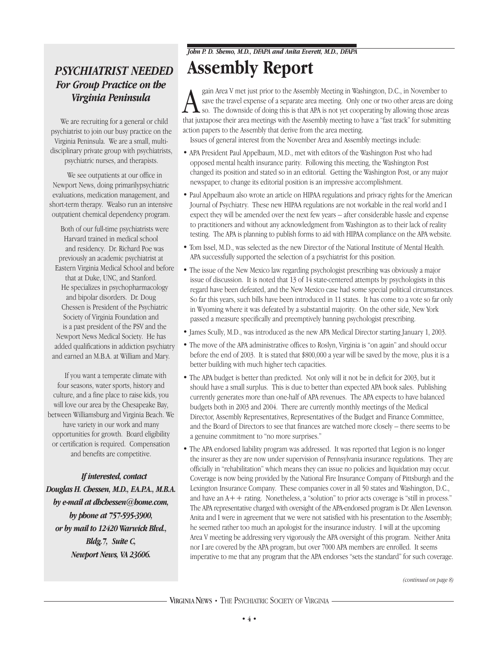### *PSYCHIATRIST NEEDED For Group Practice on the Virginia Peninsula*

We are recruiting for a general or child psychiatrist to join our busy practice on the Virginia Peninsula. We are a small, multidisciplinary private group with psychiatrists, psychiatric nurses, and therapists.

We see outpatients at our office in Newport News, doing primarilypsychiatric evaluations, medication management, and short-term therapy. Wealso run an intensive outpatient chemical dependency program.

Both of our full-time psychiatrists were Harvard trained in medical school and residency. Dr. Richard Poe was previously an academic psychiatrist at Eastern Virginia Medical School and before that at Duke, UNC, and Stanford. He specializes in psychopharmacology and bipolar disorders. Dr. Doug Chessen is President of the Psychiatric Society of Virginia Foundation and is a past president of the PSV and the Newport News Medical Society. He has added qualifications in addiction psychiatry and earned an M.B.A. at William and Mary.

If you want a temperate climate with four seasons, water sports, history and culture, and a fine place to raise kids, you will love our area by the Chesapeake Bay, between Williamsburg and Virginia Beach. We have variety in our work and many opportunities for growth. Board eligibility or certification is required. Compensation and benefits are competitive.

*If interested, contact Douglas H. Chessen, M.D., F.A.P.A., M.B.A. by e-mail at dhchessen@home.com, by phone at 757-595-3900, or by mail to 12420 Warwick Blvd., Bldg.7, Suite C, Newport News, VA 23606.*

#### *John P. D. Shemo, M.D., DFAPA and Anita Everett, M.D., DFAPA*

# **Assembly Report**

Sain Area V met just prior to the Assembly Meeting in Washington, D.C., in November to save the travel expense of a separate area meeting. Only one or two other areas are doing so. The downside of doing this is that APA is gain Area V met just prior to the Assembly Meeting in Washington, D.C., in November to save the travel expense of a separate area meeting. Only one or two other areas are doing so. The downside of doing this is that APA is not yet cooperating by allowing those areas action papers to the Assembly that derive from the area meeting.

Issues of general interest from the November Area and Assembly meetings include:

- APA President Paul Appelbaum, M.D., met with editors of the Washington Post who had opposed mental health insurance parity. Following this meeting, the Washington Post changed its position and stated so in an editorial. Getting the Washington Post, or any major newspaper, to change its editorial position is an impressive accomplishment.
- Paul Appelbaum also wrote an article on HIPAA regulations and privacy rights for the American Journal of Psychiatry. These new HIPAA regulations are not workable in the real world and I expect they will be amended over the next few years – after considerable hassle and expense to practitioners and without any acknowledgment from Washington as to their lack of reality testing. The APA is planning to publish forms to aid with HIPAA compliance on the APA website.
- Tom Issel, M.D., was selected as the new Director of the National Institute of Mental Health. APA successfully supported the selection of a psychiatrist for this position.
- The issue of the New Mexico law regarding psychologist prescribing was obviously a major issue of discussion. It is noted that 13 of 14 state-centered attempts by psychologists in this regard have been defeated, and the New Mexico case had some special political circumstances. So far this years, such bills have been introduced in 11 states. It has come to a vote so far only in Wyoming where it was defeated by a substantial majority. On the other side, New York passed a measure specifically and preemptively banning psychologist prescribing.
- James Scully, M.D., was introduced as the new APA Medical Director starting January 1, 2003.
- The move of the APA administrative offices to Roslyn, Virginia is "on again" and should occur before the end of 2003. It is stated that \$800,000 a year will be saved by the move, plus it is a better building with much higher tech capacities.
- The APA budget is better than predicted. Not only will it not be in deficit for 2003, but it should have a small surplus. This is due to better than expected APA book sales. Publishing currently generates more than one-half of APA revenues. The APA expects to have balanced budgets both in 2003 and 2004. There are currently monthly meetings of the Medical Director, Assembly Representatives, Representatives of the Budget and Finance Committee, and the Board of Directors to see that finances are watched more closely – there seems to be a genuine commitment to "no more surprises."
- The APA endorsed liability program was addressed. It was reported that Legion is no longer the insurer as they are now under supervision of Pennsylvania insurance regulations. They are officially in "rehabilitation" which means they can issue no policies and liquidation may occur. Coverage is now being provided by the National Fire Insurance Company of Pittsburgh and the Lexington Insurance Company. These companies cover in all 50 states and Washington, D.C., and have an  $A++$  rating. Nonetheless, a "solution" to prior acts coverage is "still in process." The APA representative charged with oversight of the APA-endorsed program is Dr. Allen Levenson. Anita and I were in agreement that we were not satisfied with his presentation to the Assembly; he seemed rather too much an apologist for the insurance industry. I will at the upcoming Area V meeting be addressing very vigorously the APA oversight of this program. Neither Anita nor I are covered by the APA program, but over 7000 APA members are enrolled. It seems imperative to me that any program that the APA endorses "sets the standard" for such coverage.

*(continued on page 8)*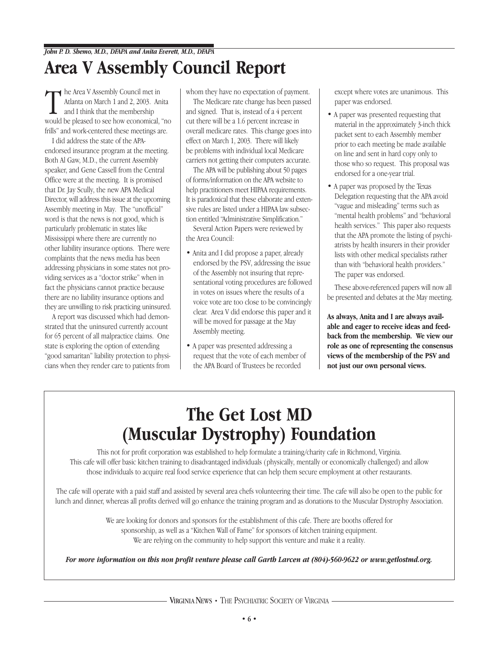# **Area V Assembly Council Report**

The Area V Assembly Council met in<br>Atlanta on March 1 and 2, 2003. Ar<br>and I think that the membership<br>would be pleased to see how economical Atlanta on March 1 and 2, 2003. Anita and I think that the membership would be pleased to see how economical, "no frills" and work-centered these meetings are.

I did address the state of the APAendorsed insurance program at the meeting. Both Al Gaw, M.D., the current Assembly speaker, and Gene Cassell from the Central Office were at the meeting. It is promised that Dr. Jay Scully, the new APA Medical Director, will address this issue at the upcoming Assembly meeting in May. The "unofficial" word is that the news is not good, which is particularly problematic in states like Mississippi where there are currently no other liability insurance options. There were complaints that the news media has been addressing physicians in some states not providing services as a "doctor strike" when in fact the physicians cannot practice because there are no liability insurance options and they are unwilling to risk practicing uninsured.

A report was discussed which had demonstrated that the uninsured currently account for 65 percent of all malpractice claims. One state is exploring the option of extending "good samaritan" liability protection to physicians when they render care to patients from

whom they have no expectation of payment.

The Medicare rate change has been passed and signed. That is, instead of a 4 percent cut there will be a 1.6 percent increase in overall medicare rates. This change goes into effect on March 1, 2003. There will likely be problems with individual local Medicare carriers not getting their computers accurate.

The APA will be publishing about 50 pages of forms/information on the APA website to help practitioners meet HIPAA requirements. It is paradoxical that these elaborate and extensive rules are listed under a HIPAA law subsection entitled "Administrative Simplification."

Several Action Papers were reviewed by the Area Council:

- Anita and I did propose a paper, already endorsed by the PSV, addressing the issue of the Assembly not insuring that representational voting procedures are followed in votes on issues where the results of a voice vote are too close to be convincingly clear. Area V did endorse this paper and it will be moved for passage at the May Assembly meeting.
- A paper was presented addressing a request that the vote of each member of the APA Board of Trustees be recorded

except where votes are unanimous. This paper was endorsed.

- A paper was presented requesting that material in the approximately 3-inch thick packet sent to each Assembly member prior to each meeting be made available on line and sent in hard copy only to those who so request. This proposal was endorsed for a one-year trial.
- A paper was proposed by the Texas Delegation requesting that the APA avoid "vague and misleading" terms such as "mental health problems" and "behavioral health services." This paper also requests that the APA promote the listing of psychiatrists by health insurers in their provider lists with other medical specialists rather than with "behavioral health providers." The paper was endorsed.

These above-referenced papers will now all be presented and debates at the May meeting.

**As always, Anita and I are always available and eager to receive ideas and feedback from the membership. We view our role as one of representing the consensus views of the membership of the PSV and not just our own personal views.**

# **The Get Lost MD (Muscular Dystrophy) Foundation**

This not for profit corporation was established to help formulate a training/charity cafe in Richmond, Virginia. This cafe will offer basic kitchen training to disadvantaged individuals (physically, mentally or economically challenged) and allow those individuals to acquire real food service experience that can help them secure employment at other restaurants.

The cafe will operate with a paid staff and assisted by several area chefs volunteering their time. The cafe will also be open to the public for lunch and dinner, whereas all profits derived will go enhance the training program and as donations to the Muscular Dystrophy Association.

> We are looking for donors and sponsors for the establishment of this cafe. There are booths offered for sponsorship, as well as a "Kitchen Wall of Fame" for sponsors of kitchen training equipment. We are relying on the community to help support this venture and make it a reality.

*For more information on this non profit venture please call Garth Larcen at (804)-560-9622 or www.getlostmd.org.* 

VIRGINIA NEWS • THE PSYCHIATRIC SOCIETY OF VIRGINIA ·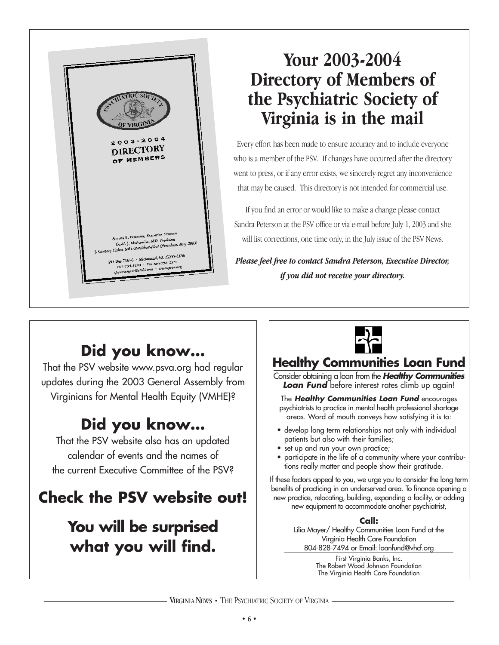

# **Your 2003-2004 Directory of Members of the Psychiatric Society of Virginia is in the mail**

Every effort has been made to ensure accuracy and to include everyone who is a member of the PSV. If changes have occurred after the directory went to press, or if any error exists, we sincerely regret any inconvenience that may be caused. This directory is not intended for commercial use.

If you find an error or would like to make a change please contact Sandra Peterson at the PSV office or via e-mail before July 1, 2003 and she will list corrections, one time only, in the July issue of the PSV News.

*Please feel free to contact Sandra Peterson, Executive Director, if you did not receive your directory.*

# **Did you know…**

That the PSV website www.psva.org had regular updates during the 2003 General Assembly from Virginians for Mental Health Equity (VMHE)?

# **Did you know…**

That the PSV website also has an updated calendar of events and the names of the current Executive Committee of the PSV?

# **Check the PSV website out!**

# **You will be surprised what you will find.**



# **Healthy Communities Loan Fund**

Consider obtaining a loan from the *Healthy Communities Loan Fund* before interest rates climb up again!

The *Healthy Communities Loan Fund* encourages psychiatrists to practice in mental health professional shortage areas. Word of mouth conveys how satisfying it is to:

- develop long term relationships not only with individual patients but also with their families;
- set up and run your own practice;
- participate in the life of a community where your contributions really matter and people show their gratitude.

If these factors appeal to you, we urge you to consider the long term benefits of practicing in an underserved area. To finance opening a new practice, relocating, building, expanding a facility, or adding new equipment to accommodate another psychiatrist,

#### **Call:**

Lilia Mayer/ Healthy Communities Loan Fund at the Virginia Health Care Foundation 804-828-7494 or Email: loanfund@vhcf.org

> First Virginia Banks, Inc. The Robert Wood Johnson Foundation The Virginia Health Care Foundation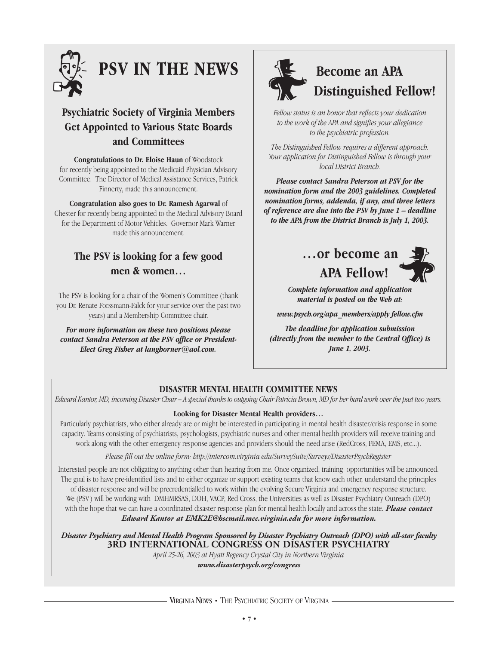

# **PSV IN THE NEWS**

### **Psychiatric Society of Virginia Members Get Appointed to Various State Boards and Committees**

**Congratulations to Dr. Eloise Haun** of Woodstock for recently being appointed to the Medicaid Physician Advisory Committee. The Director of Medical Assistance Services, Patrick Finnerty, made this announcement.

**Congratulation also goes to Dr. Ramesh Agarwal** of Chester for recently being appointed to the Medical Advisory Board for the Department of Motor Vehicles. Governor Mark Warner made this announcement.

### **The PSV is looking for a few good men & women…**

The PSV is looking for a chair of the Women's Committee (thank you Dr. Renate Forssmann-Falck for your service over the past two years) and a Membership Committee chair.

*For more information on these two positions please contact Sandra Peterson at the PSV office or President-Elect Greg Fisher at langhorner@aol.com.* 



# **Become an APA Distinguished Fellow!**

*Fellow status is an honor that reflects your dedication to the work of the APA and signifies your allegiance to the psychiatric profession.* 

*The Distinguished Fellow requires a different approach. Your application for Distinguished Fellow is through your local District Branch.* 

*Please contact Sandra Peterson at PSV for the nomination form and the 2003 guidelines. Completed nomination forms, addenda, if any, and three letters of reference are due into the PSV by June 1 – deadline to the APA from the District Branch is July 1, 2003.* 

# **…or become an APA Fellow!**



*Complete information and application material is posted on the Web at:* 

*www.psych.org/apa\_members/apply fellow.cfm*

*The deadline for application submission (directly from the member to the Central Office) is June 1, 2003.* 

### **DISASTER MENTAL HEALTH COMMITTEE NEWS**

*Edward Kantor, MD, incoming Disaster Chair – A special thanks to outgoing Chair Patricia Brown, MD for her hard work over the past two years.*

#### **Looking for Disaster Mental Health providers…**

Particularly psychiatrists, who either already are or might be interested in participating in mental health disaster/crisis response in some capacity. Teams consisting of psychiatrists, psychologists, psychiatric nurses and other mental health providers will receive training and work along with the other emergency response agencies and providers should the need arise (RedCross, FEMA, EMS, etc...).

*Please fill out the online form: http://intercom.virginia.edu/SurveySuite/Surveys/DisasterPsychRegister*

Interested people are not obligating to anything other than hearing from me. Once organized, training opportunities will be announced. The goal is to have pre-identified lists and to either organize or support existing teams that know each other, understand the principles of disaster response and will be precredentialled to work within the evolving Secure Virginia and emergency response structure. We (PSV ) will be working with DMHMRSAS, DOH, VACP, Red Cross, the Universities as well as Disaster Psychiatry Outreach (DPO) with the hope that we can have a coordinated disaster response plan for mental health locally and across the state. *Please contact Edward Kantor at EMK2E@hscmail.mcc.virginia.edu for more information.*

*Disaster Psychiatry and Mental Health Program Sponsored by Disaster Psychiatry Outreach (DPO) with all-star faculty* **3RD INTERNATIONAL CONGRESS ON DISASTER PSYCHIATRY**

*April 25-26, 2003 at Hyatt Regency Crystal City in Northern Virginia www.disasterpsych.org/congress*

**· VIRGINIA NEWS •** THE PSYCHIATRIC SOCIETY OF VIRGINIA -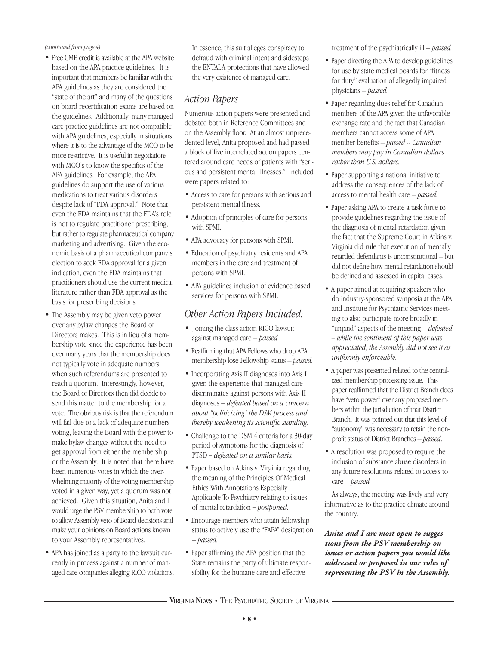*(continued from page 4)*

- Free CME credit is available at the APA website based on the APA practice guidelines. It is important that members be familiar with the APA guidelines as they are considered the "state of the art" and many of the questions on board recertification exams are based on the guidelines. Additionally, many managed care practice guidelines are not compatible with APA guidelines, especially in situations where it is to the advantage of the MCO to be more restrictive. It is useful in negotiations with MCO's to know the specifics of the APA guidelines. For example, the APA guidelines do support the use of various medications to treat various disorders despite lack of "FDA approval." Note that even the FDA maintains that the FDA's role is not to regulate practitioner prescribing, but rather to regulate pharmaceutical company marketing and advertising. Given the economic basis of a pharmaceutical company's election to seek FDA approval for a given indication, even the FDA maintains that practitioners should use the current medical literature rather than FDA approval as the basis for prescribing decisions.
- The Assembly may be given veto power over any bylaw changes the Board of Directors makes. This is in lieu of a membership vote since the experience has been over many years that the membership does not typically vote in adequate numbers when such referendums are presented to reach a quorum. Interestingly, however, the Board of Directors then did decide to send this matter to the membership for a vote. The obvious risk is that the referendum will fail due to a lack of adequate numbers voting, leaving the Board with the power to make bylaw changes without the need to get approval from either the membership or the Assembly. It is noted that there have been numerous votes in which the overwhelming majority of the voting membership voted in a given way, yet a quorum was not achieved. Given this situation, Anita and I would urge the PSV membership to both vote to allow Assembly veto of Board decisions and make your opinions on Board actions known to your Assembly representatives.
- APA has joined as a party to the lawsuit currently in process against a number of managed care companies alleging RICO violations.

In essence, this suit alleges conspiracy to defraud with criminal intent and sidesteps the ENTALA protections that have allowed the very existence of managed care.

### *Action Papers*

Numerous action papers were presented and debated both in Reference Committees and on the Assembly floor. At an almost unprecedented level, Anita proposed and had passed a block of five interrelated action papers centered around care needs of patients with "serious and persistent mental illnesses." Included were papers related to:

- Access to care for persons with serious and persistent mental illness.
- Adoption of principles of care for persons with SPMI.
- APA advocacy for persons with SPMI.
- Education of psychiatry residents and APA members in the care and treatment of persons with SPMI.
- APA guidelines inclusion of evidence based services for persons with SPMI.

### *Other Action Papers Included:*

- Joining the class action RICO lawsuit against managed care – *passed.*
- Reaffirming that APA Fellows who drop APA membership lose Fellowship status – *passed.*
- Incorporating Axis II diagnoses into Axis I given the experience that managed care discriminates against persons with Axis II diagnoses – *defeated based on a concern about "politicizing" the DSM process and thereby weakening its scientific standing.*
- Challenge to the DSM 4 criteria for a 30-day period of symptoms for the diagnosis of PTSD *– defeated on a similar basis.*
- Paper based on Atkins v. Virginia regarding the meaning of the Principles Of Medical Ethics With Annotations Especially Applicable To Psychiatry relating to issues of mental retardation *– postponed.*
- Encourage members who attain fellowship status to actively use the "FAPA" designation – *passed.*
- Paper affirming the APA position that the State remains the party of ultimate responsibility for the humane care and effective

treatment of the psychiatrically ill – *passed.* 

- Paper directing the APA to develop guidelines for use by state medical boards for "fitness for duty" evaluation of allegedly impaired physicians – *passed.*
- Paper regarding dues relief for Canadian members of the APA given the unfavorable exchange rate and the fact that Canadian members cannot access some of APA member benefits – *passed -- Canadian members may pay in Canadian dollars rather than U.S. dollars.*
- Paper supporting a national initiative to address the consequences of the lack of access to mental health care – *passed.*
- Paper asking APA to create a task force to provide guidelines regarding the issue of the diagnosis of mental retardation given the fact that the Supreme Court in Atkins v. Virginia did rule that execution of mentally retarded defendants is unconstitutional – but did not define how mental retardation should be defined and assessed in capital cases.
- A paper aimed at requiring speakers who do industry-sponsored symposia at the APA and Institute for Psychiatric Services meeting to also participate more broadly in "unpaid" aspects of the meeting – *defeated – while the sentiment of this paper was appreciated, the Assembly did not see it as uniformly enforceable.*
- A paper was presented related to the centralized membership processing issue. This paper reaffirmed that the District Branch does have "veto power" over any proposed members within the jurisdiction of that District Branch. It was pointed out that this level of "autonomy" was necessary to retain the nonprofit status of District Branches – *passed*.
- A resolution was proposed to require the inclusion of substance abuse disorders in any future resolutions related to access to care – *passed.*

As always, the meeting was lively and very informative as to the practice climate around the country.

*Anita and I are most open to suggestions from the PSV membership on issues or action papers you would like addressed or proposed in our roles of representing the PSV in the Assembly.*